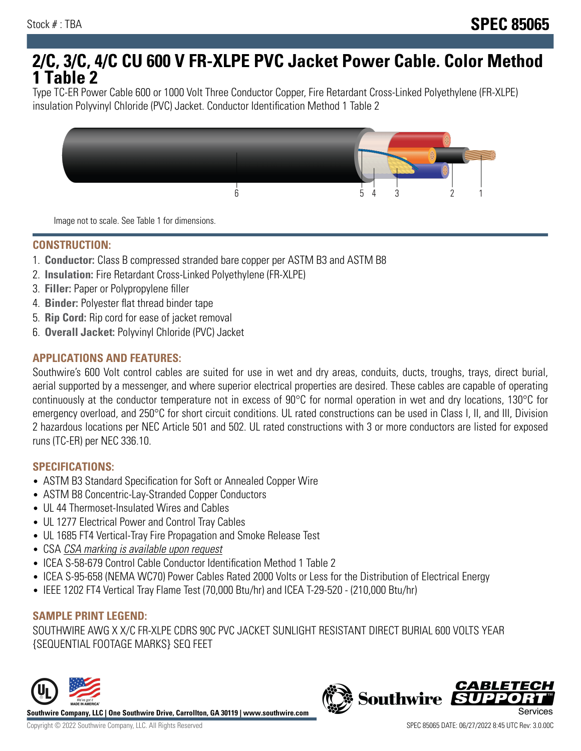# **2/C, 3/C, 4/C CU 600 V FR-XLPE PVC Jacket Power Cable. Color Method 1 Table 2**

Type TC-ER Power Cable 600 or 1000 Volt Three Conductor Copper, Fire Retardant Cross-Linked Polyethylene (FR-XLPE) insulation Polyvinyl Chloride (PVC) Jacket. Conductor Identification Method 1 Table 2



Image not to scale. See Table 1 for dimensions.

#### **CONSTRUCTION:**

- 1. **Conductor:** Class B compressed stranded bare copper per ASTM B3 and ASTM B8
- 2. **Insulation:** Fire Retardant Cross-Linked Polyethylene (FR-XLPE)
- 3. **Filler:** Paper or Polypropylene filler
- 4. **Binder:** Polyester flat thread binder tape
- 5. **Rip Cord:** Rip cord for ease of jacket removal
- 6. **Overall Jacket:** Polyvinyl Chloride (PVC) Jacket

## **APPLICATIONS AND FEATURES:**

Southwire's 600 Volt control cables are suited for use in wet and dry areas, conduits, ducts, troughs, trays, direct burial, aerial supported by a messenger, and where superior electrical properties are desired. These cables are capable of operating continuously at the conductor temperature not in excess of 90°C for normal operation in wet and dry locations, 130°C for emergency overload, and 250°C for short circuit conditions. UL rated constructions can be used in Class I, II, and III, Division 2 hazardous locations per NEC Article 501 and 502. UL rated constructions with 3 or more conductors are listed for exposed runs (TC-ER) per NEC 336.10.

#### **SPECIFICATIONS:**

- ASTM B3 Standard Specification for Soft or Annealed Copper Wire
- ASTM B8 Concentric-Lay-Stranded Copper Conductors
- UL 44 Thermoset-Insulated Wires and Cables
- UL 1277 Electrical Power and Control Tray Cables
- UL 1685 FT4 Vertical-Tray Fire Propagation and Smoke Release Test
- CSA CSA marking is available upon request
- ICEA S-58-679 Control Cable Conductor Identification Method 1 Table 2
- ICEA S-95-658 (NEMA WC70) Power Cables Rated 2000 Volts or Less for the Distribution of Electrical Energy
- IEEE 1202 FT4 Vertical Tray Flame Test (70,000 Btu/hr) and ICEA T-29-520 (210,000 Btu/hr)

#### **SAMPLE PRINT LEGEND:**

SOUTHWIRE AWG X X/C FR-XLPE CDRS 90C PVC JACKET SUNLIGHT RESISTANT DIRECT BURIAL 600 VOLTS YEAR {SEQUENTIAL FOOTAGE MARKS} SEQ FEET